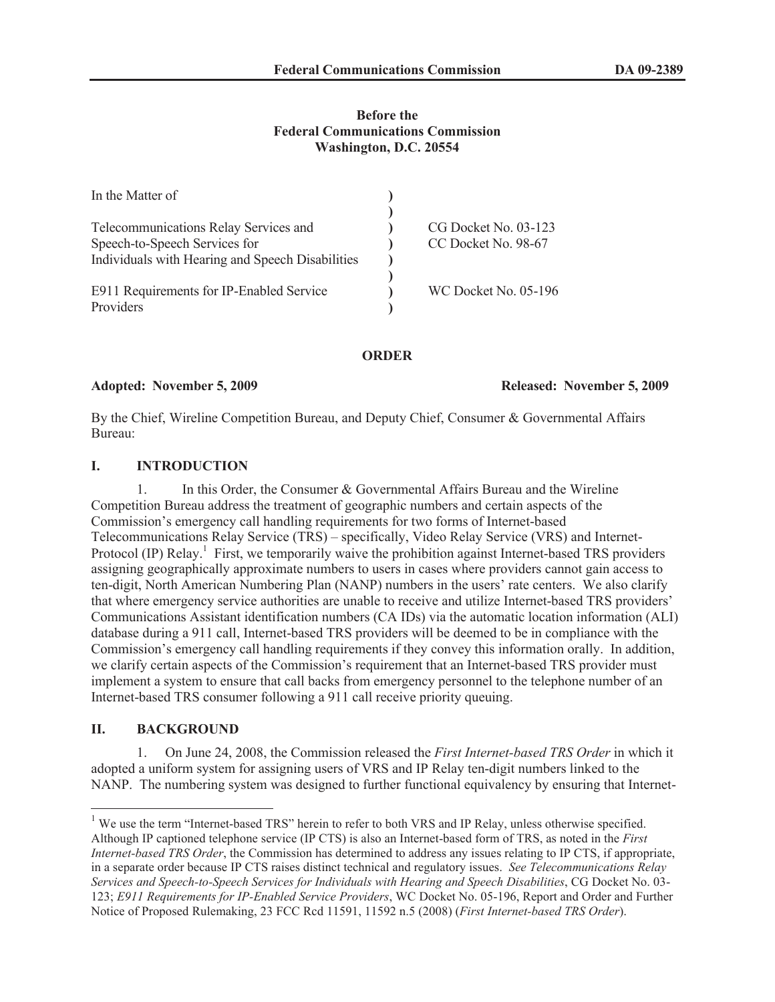## **Before the Federal Communications Commission Washington, D.C. 20554**

| In the Matter of                                                                  |                      |  |
|-----------------------------------------------------------------------------------|----------------------|--|
| Telecommunications Relay Services and                                             | CG Docket No. 03-123 |  |
| Speech-to-Speech Services for<br>Individuals with Hearing and Speech Disabilities | CC Docket No. 98-67  |  |
| E911 Requirements for IP-Enabled Service                                          | WC Docket No. 05-196 |  |
| Providers                                                                         |                      |  |

## **ORDER**

**Adopted: November 5, 2009 Released: November 5, 2009**

By the Chief, Wireline Competition Bureau, and Deputy Chief, Consumer & Governmental Affairs Bureau:

# **I. INTRODUCTION**

1. In this Order, the Consumer & Governmental Affairs Bureau and the Wireline Competition Bureau address the treatment of geographic numbers and certain aspects of the Commission's emergency call handling requirements for two forms of Internet-based Telecommunications Relay Service (TRS) – specifically, Video Relay Service (VRS) and Internet-Protocol (IP) Relay.<sup>1</sup> First, we temporarily waive the prohibition against Internet-based TRS providers assigning geographically approximate numbers to users in cases where providers cannot gain access to ten-digit, North American Numbering Plan (NANP) numbers in the users' rate centers. We also clarify that where emergency service authorities are unable to receive and utilize Internet-based TRS providers' Communications Assistant identification numbers (CA IDs) via the automatic location information (ALI) database during a 911 call, Internet-based TRS providers will be deemed to be in compliance with the Commission's emergency call handling requirements if they convey this information orally. In addition, we clarify certain aspects of the Commission's requirement that an Internet-based TRS provider must implement a system to ensure that call backs from emergency personnel to the telephone number of an Internet-based TRS consumer following a 911 call receive priority queuing.

# **II. BACKGROUND**

1. On June 24, 2008, the Commission released the *First Internet-based TRS Order* in which it adopted a uniform system for assigning users of VRS and IP Relay ten-digit numbers linked to the NANP. The numbering system was designed to further functional equivalency by ensuring that Internet-

<sup>&</sup>lt;sup>1</sup> We use the term "Internet-based TRS" herein to refer to both VRS and IP Relay, unless otherwise specified. Although IP captioned telephone service (IP CTS) is also an Internet-based form of TRS, as noted in the *First Internet-based TRS Order*, the Commission has determined to address any issues relating to IP CTS, if appropriate, in a separate order because IP CTS raises distinct technical and regulatory issues. *See Telecommunications Relay Services and Speech-to-Speech Services for Individuals with Hearing and Speech Disabilities*, CG Docket No. 03- 123; *E911 Requirements for IP-Enabled Service Providers*, WC Docket No. 05-196, Report and Order and Further Notice of Proposed Rulemaking, 23 FCC Rcd 11591, 11592 n.5 (2008) (*First Internet-based TRS Order*).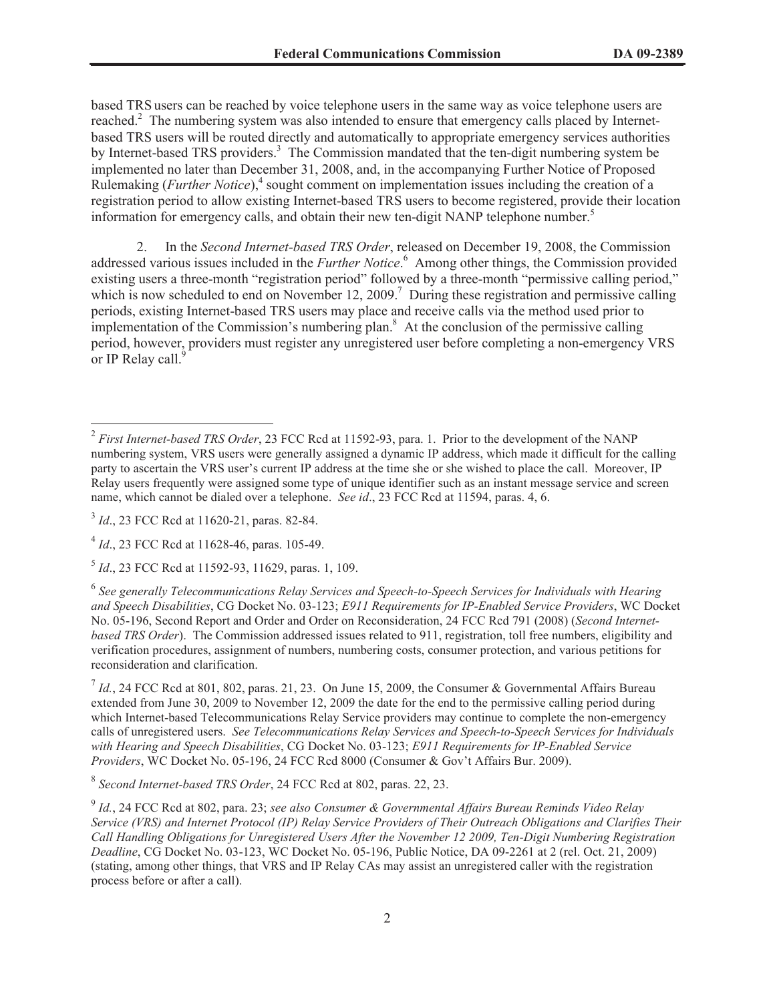based TRS users can be reached by voice telephone users in the same way as voice telephone users are reached.<sup>2</sup> The numbering system was also intended to ensure that emergency calls placed by Internetbased TRS users will be routed directly and automatically to appropriate emergency services authorities by Internet-based TRS providers.<sup>3</sup> The Commission mandated that the ten-digit numbering system be implemented no later than December 31, 2008, and, in the accompanying Further Notice of Proposed Rulemaking (*Further Notice*),<sup>4</sup> sought comment on implementation issues including the creation of a registration period to allow existing Internet-based TRS users to become registered, provide their location information for emergency calls, and obtain their new ten-digit NANP telephone number.<sup>5</sup>

2. In the *Second Internet-based TRS Order*, released on December 19, 2008, the Commission addressed various issues included in the *Further Notice*. <sup>6</sup> Among other things, the Commission provided existing users a three-month "registration period" followed by a three-month "permissive calling period," which is now scheduled to end on November 12, 2009.<sup>7</sup> During these registration and permissive calling periods, existing Internet-based TRS users may place and receive calls via the method used prior to implementation of the Commission's numbering plan.<sup>8</sup> At the conclusion of the permissive calling period, however, providers must register any unregistered user before completing a non-emergency VRS or IP Relay call.<sup>9</sup>

<sup>2</sup> *First Internet-based TRS Order*, 23 FCC Rcd at 11592-93, para. 1. Prior to the development of the NANP numbering system, VRS users were generally assigned a dynamic IP address, which made it difficult for the calling party to ascertain the VRS user's current IP address at the time she or she wished to place the call. Moreover, IP Relay users frequently were assigned some type of unique identifier such as an instant message service and screen name, which cannot be dialed over a telephone. *See id*., 23 FCC Rcd at 11594, paras. 4, 6.

<sup>&</sup>lt;sup>3</sup> *Id.*, 23 FCC Rcd at 11620-21, paras. 82-84.

<sup>4</sup> *Id*., 23 FCC Rcd at 11628-46, paras. 105-49.

<sup>5</sup> *Id*., 23 FCC Rcd at 11592-93, 11629, paras. 1, 109.

<sup>6</sup> *See generally Telecommunications Relay Services and Speech-to-Speech Services for Individuals with Hearing and Speech Disabilities*, CG Docket No. 03-123; *E911 Requirements for IP-Enabled Service Providers*, WC Docket No. 05-196, Second Report and Order and Order on Reconsideration, 24 FCC Rcd 791 (2008) (*Second Internetbased TRS Order*). The Commission addressed issues related to 911, registration, toll free numbers, eligibility and verification procedures, assignment of numbers, numbering costs, consumer protection, and various petitions for reconsideration and clarification.

 $^7$  *Id.*, 24 FCC Rcd at 801, 802, paras. 21, 23. On June 15, 2009, the Consumer & Governmental Affairs Bureau extended from June 30, 2009 to November 12, 2009 the date for the end to the permissive calling period during which Internet-based Telecommunications Relay Service providers may continue to complete the non-emergency calls of unregistered users. *See Telecommunications Relay Services and Speech-to-Speech Services for Individuals with Hearing and Speech Disabilities*, CG Docket No. 03-123; *E911 Requirements for IP-Enabled Service Providers*, WC Docket No. 05-196, 24 FCC Rcd 8000 (Consumer & Gov't Affairs Bur. 2009).

<sup>8</sup> *Second Internet-based TRS Order*, 24 FCC Rcd at 802, paras. 22, 23.

<sup>9</sup> *Id.*, 24 FCC Rcd at 802, para. 23; *see also Consumer & Governmental Affairs Bureau Reminds Video Relay Service (VRS) and Internet Protocol (IP) Relay Service Providers of Their Outreach Obligations and Clarifies Their Call Handling Obligations for Unregistered Users After the November 12 2009, Ten-Digit Numbering Registration Deadline*, CG Docket No. 03-123, WC Docket No. 05-196, Public Notice, DA 09-2261 at 2 (rel. Oct. 21, 2009) (stating, among other things, that VRS and IP Relay CAs may assist an unregistered caller with the registration process before or after a call).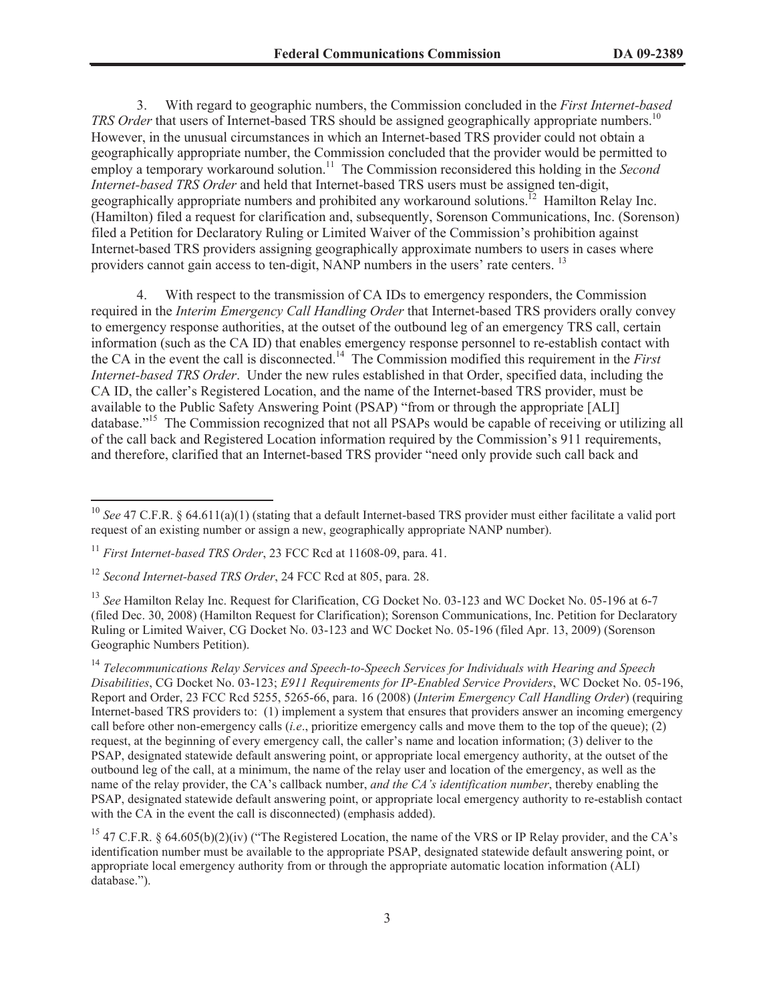3. With regard to geographic numbers, the Commission concluded in the *First Internet-based TRS Order* that users of Internet-based TRS should be assigned geographically appropriate numbers.<sup>10</sup> However, in the unusual circumstances in which an Internet-based TRS provider could not obtain a geographically appropriate number, the Commission concluded that the provider would be permitted to employ a temporary workaround solution.<sup>11</sup> The Commission reconsidered this holding in the *Second* complex at the *Second Internet-based TRS Order* and held that Internet-based TRS users must be assigned ten-digit, geographically appropriate numbers and prohibited any workaround solutions.<sup>12</sup> Hamilton Relay Inc. (Hamilton) filed a request for clarification and, subsequently, Sorenson Communications, Inc. (Sorenson) filed a Petition for Declaratory Ruling or Limited Waiver of the Commission's prohibition against Internet-based TRS providers assigning geographically approximate numbers to users in cases where providers cannot gain access to ten-digit, NANP numbers in the users' rate centers.<sup>13</sup>

4. With respect to the transmission of CA IDs to emergency responders, the Commission required in the *Interim Emergency Call Handling Order* that Internet-based TRS providers orally convey to emergency response authorities, at the outset of the outbound leg of an emergency TRS call, certain information (such as the CA ID) that enables emergency response personnel to re-establish contact with the CA in the event the call is disconnected.<sup>14</sup> The Commission modified this requirement in the *First Internet-based TRS Order*. Under the new rules established in that Order, specified data, including the CA ID, the caller's Registered Location, and the name of the Internet-based TRS provider, must be available to the Public Safety Answering Point (PSAP) "from or through the appropriate [ALI] database."<sup>15</sup> The Commission recognized that not all PSAPs would be capable of receiving or utilizing all of the call back and Registered Location information required by the Commission's 911 requirements, and therefore, clarified that an Internet-based TRS provider "need only provide such call back and

<sup>&</sup>lt;sup>10</sup> See 47 C.F.R. § 64.611(a)(1) (stating that a default Internet-based TRS provider must either facilitate a valid port request of an existing number or assign a new, geographically appropriate NANP number).

<sup>11</sup> *First Internet-based TRS Order*, 23 FCC Rcd at 11608-09, para. 41.

<sup>12</sup> *Second Internet-based TRS Order*, 24 FCC Rcd at 805, para. 28.

<sup>13</sup> *See* Hamilton Relay Inc. Request for Clarification, CG Docket No. 03-123 and WC Docket No. 05-196 at 6-7 (filed Dec. 30, 2008) (Hamilton Request for Clarification); Sorenson Communications, Inc. Petition for Declaratory Ruling or Limited Waiver, CG Docket No. 03-123 and WC Docket No. 05-196 (filed Apr. 13, 2009) (Sorenson Geographic Numbers Petition).

<sup>14</sup> *Telecommunications Relay Services and Speech-to-Speech Services for Individuals with Hearing and Speech Disabilities*, CG Docket No. 03-123; *E911 Requirements for IP-Enabled Service Providers*, WC Docket No. 05-196, Report and Order, 23 FCC Rcd 5255, 5265-66, para. 16 (2008) (*Interim Emergency Call Handling Order*) (requiring Internet-based TRS providers to: (1) implement a system that ensures that providers answer an incoming emergency call before other non-emergency calls (*i.e*., prioritize emergency calls and move them to the top of the queue); (2) request, at the beginning of every emergency call, the caller's name and location information; (3) deliver to the PSAP, designated statewide default answering point, or appropriate local emergency authority, at the outset of the outbound leg of the call, at a minimum, the name of the relay user and location of the emergency, as well as the name of the relay provider, the CA's callback number, *and the CA's identification number*, thereby enabling the PSAP, designated statewide default answering point, or appropriate local emergency authority to re-establish contact with the CA in the event the call is disconnected) (emphasis added).

<sup>&</sup>lt;sup>15</sup> 47 C.F.R. § 64.605(b)(2)(iv) ("The Registered Location, the name of the VRS or IP Relay provider, and the CA's identification number must be available to the appropriate PSAP, designated statewide default answering point, or appropriate local emergency authority from or through the appropriate automatic location information (ALI) database.").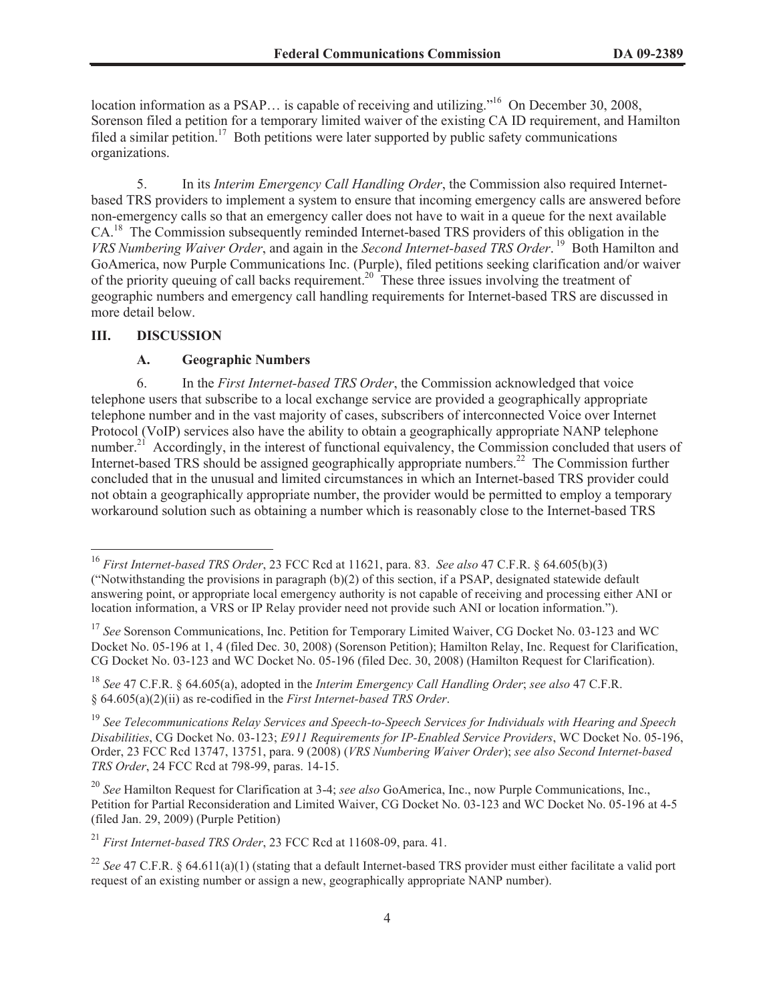location information as a PSAP... is capable of receiving and utilizing."<sup>16</sup> On December 30, 2008, Sorenson filed a petition for a temporary limited waiver of the existing CA ID requirement, and Hamilton filed a similar petition.<sup>17</sup> Both petitions were later supported by public safety communications organizations.

5. In its *Interim Emergency Call Handling Order*, the Commission also required Internetbased TRS providers to implement a system to ensure that incoming emergency calls are answered before non-emergency calls so that an emergency caller does not have to wait in a queue for the next available CA.<sup>18</sup> The Commission subsequently reminded Internet-based TRS providers of this obligation in the *VRS Numbering Waiver Order*, and again in the *Second Internet-based TRS Order*. <sup>19</sup> Both Hamilton and GoAmerica, now Purple Communications Inc. (Purple), filed petitions seeking clarification and/or waiver of the priority queuing of call backs requirement.<sup>20</sup> These three issues involving the treatment of geographic numbers and emergency call handling requirements for Internet-based TRS are discussed in more detail below.

#### **III. DISCUSSION**

### **A. Geographic Numbers**

6. In the *First Internet-based TRS Order*, the Commission acknowledged that voice telephone users that subscribe to a local exchange service are provided a geographically appropriate telephone number and in the vast majority of cases, subscribers of interconnected Voice over Internet Protocol (VoIP) services also have the ability to obtain a geographically appropriate NANP telephone number.<sup>21</sup> Accordingly, in the interest of functional equivalency, the Commission concluded that users of Internet-based TRS should be assigned geographically appropriate numbers.<sup>22</sup> The Commission further concluded that in the unusual and limited circumstances in which an Internet-based TRS provider could not obtain a geographically appropriate number, the provider would be permitted to employ a temporary workaround solution such as obtaining a number which is reasonably close to the Internet-based TRS

<sup>16</sup> *First Internet-based TRS Order*, 23 FCC Rcd at 11621, para. 83. *See also* 47 C.F.R. § 64.605(b)(3) ("Notwithstanding the provisions in paragraph (b)(2) of this section, if a PSAP, designated statewide default answering point, or appropriate local emergency authority is not capable of receiving and processing either ANI or location information, a VRS or IP Relay provider need not provide such ANI or location information.").

<sup>&</sup>lt;sup>17</sup> See Sorenson Communications, Inc. Petition for Temporary Limited Waiver, CG Docket No. 03-123 and WC Docket No. 05-196 at 1, 4 (filed Dec. 30, 2008) (Sorenson Petition); Hamilton Relay, Inc. Request for Clarification, CG Docket No. 03-123 and WC Docket No. 05-196 (filed Dec. 30, 2008) (Hamilton Request for Clarification).

<sup>18</sup> *See* 47 C.F.R. § 64.605(a), adopted in the *Interim Emergency Call Handling Order*; *see also* 47 C.F.R. § 64.605(a)(2)(ii) as re-codified in the *First Internet-based TRS Order*.

<sup>19</sup> *See Telecommunications Relay Services and Speech-to-Speech Services for Individuals with Hearing and Speech Disabilities*, CG Docket No. 03-123; *E911 Requirements for IP-Enabled Service Providers*, WC Docket No. 05-196, Order, 23 FCC Rcd 13747, 13751, para. 9 (2008) (*VRS Numbering Waiver Order*); *see also Second Internet-based TRS Order*, 24 FCC Rcd at 798-99, paras. 14-15.

<sup>20</sup> *See* Hamilton Request for Clarification at 3-4; *see also* GoAmerica, Inc., now Purple Communications, Inc., Petition for Partial Reconsideration and Limited Waiver, CG Docket No. 03-123 and WC Docket No. 05-196 at 4-5 (filed Jan. 29, 2009) (Purple Petition)

<sup>21</sup> *First Internet-based TRS Order*, 23 FCC Rcd at 11608-09, para. 41.

<sup>22</sup> *See* 47 C.F.R. § 64.611(a)(1) (stating that a default Internet-based TRS provider must either facilitate a valid port request of an existing number or assign a new, geographically appropriate NANP number).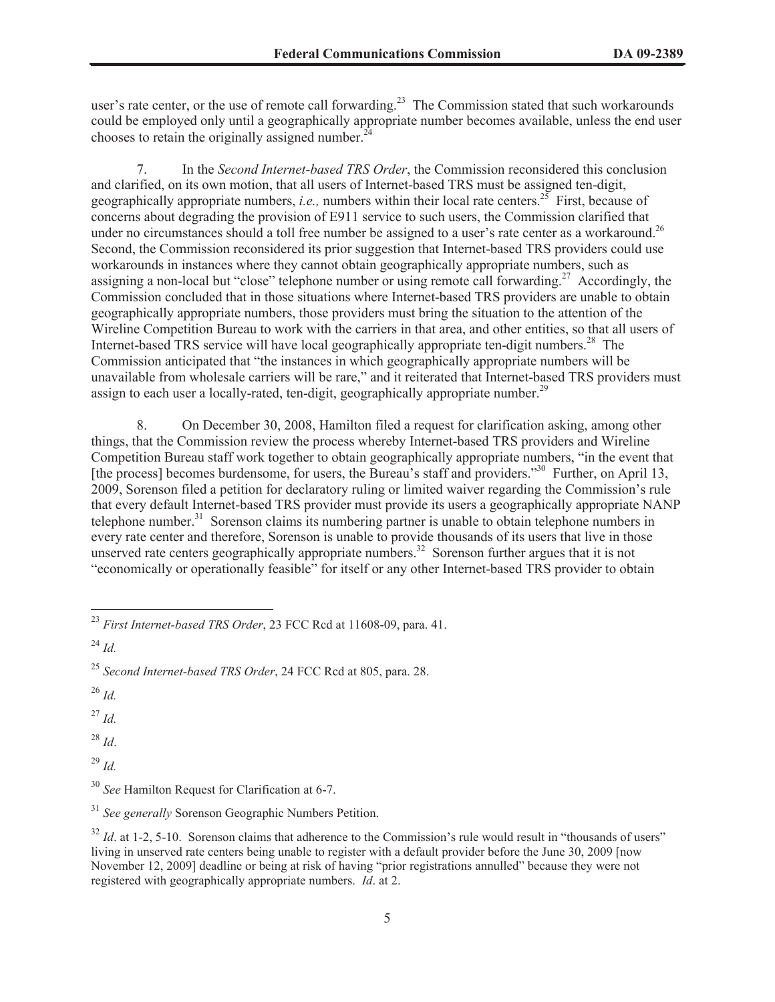user's rate center, or the use of remote call forwarding.<sup>23</sup> The Commission stated that such workarounds could be employed only until a geographically appropriate number becomes available, unless the end user chooses to retain the originally assigned number.<sup>24</sup>

7. In the *Second Internet-based TRS Order*, the Commission reconsidered this conclusion and clarified, on its own motion, that all users of Internet-based TRS must be assigned ten-digit, geographically appropriate numbers, *i.e.,* numbers within their local rate centers.<sup>25</sup> First, because of concerns about degrading the provision of E911 service to such users, the Commission clarified that under no circumstances should a toll free number be assigned to a user's rate center as a workaround.<sup>26</sup> Second, the Commission reconsidered its prior suggestion that Internet-based TRS providers could use workarounds in instances where they cannot obtain geographically appropriate numbers, such as assigning a non-local but "close" telephone number or using remote call forwarding.<sup>27</sup> Accordingly, the Commission concluded that in those situations where Internet-based TRS providers are unable to obtain geographically appropriate numbers, those providers must bring the situation to the attention of the Wireline Competition Bureau to work with the carriers in that area, and other entities, so that all users of Internet-based TRS service will have local geographically appropriate ten-digit numbers.<sup>28</sup> The Commission anticipated that "the instances in which geographically appropriate numbers will be unavailable from wholesale carriers will be rare," and it reiterated that Internet-based TRS providers must assign to each user a locally-rated, ten-digit, geographically appropriate number.<sup>29</sup>

8. On December 30, 2008, Hamilton filed a request for clarification asking, among other things, that the Commission review the process whereby Internet-based TRS providers and Wireline Competition Bureau staff work together to obtain geographically appropriate numbers, "in the event that [the process] becomes burdensome, for users, the Bureau's staff and providers.<sup>330</sup> Further, on April 13, 2009, Sorenson filed a petition for declaratory ruling or limited waiver regarding the Commission's rule that every default Internet-based TRS provider must provide its users a geographically appropriate NANP telephone number.<sup>31</sup> Sorenson claims its numbering partner is unable to obtain telephone numbers in every rate center and therefore, Sorenson is unable to provide thousands of its users that live in those unserved rate centers geographically appropriate numbers.<sup>32</sup> Sorenson further argues that it is not "economically or operationally feasible" for itself or any other Internet-based TRS provider to obtain

 $^{26}$  *Id.* 

<sup>27</sup> *Id.*

<sup>28</sup> *Id*.

<sup>29</sup> *Id.*

<sup>23</sup> *First Internet-based TRS Order*, 23 FCC Rcd at 11608-09, para. 41.

<sup>24</sup> *Id.*

<sup>25</sup> *Second Internet-based TRS Order*, 24 FCC Rcd at 805, para. 28.

<sup>30</sup> *See* Hamilton Request for Clarification at 6-7.

<sup>31</sup> *See generally* Sorenson Geographic Numbers Petition.

<sup>&</sup>lt;sup>32</sup> *Id.* at 1-2, 5-10. Sorenson claims that adherence to the Commission's rule would result in "thousands of users" living in unserved rate centers being unable to register with a default provider before the June 30, 2009 [now November 12, 2009] deadline or being at risk of having "prior registrations annulled" because they were not registered with geographically appropriate numbers. *Id*. at 2.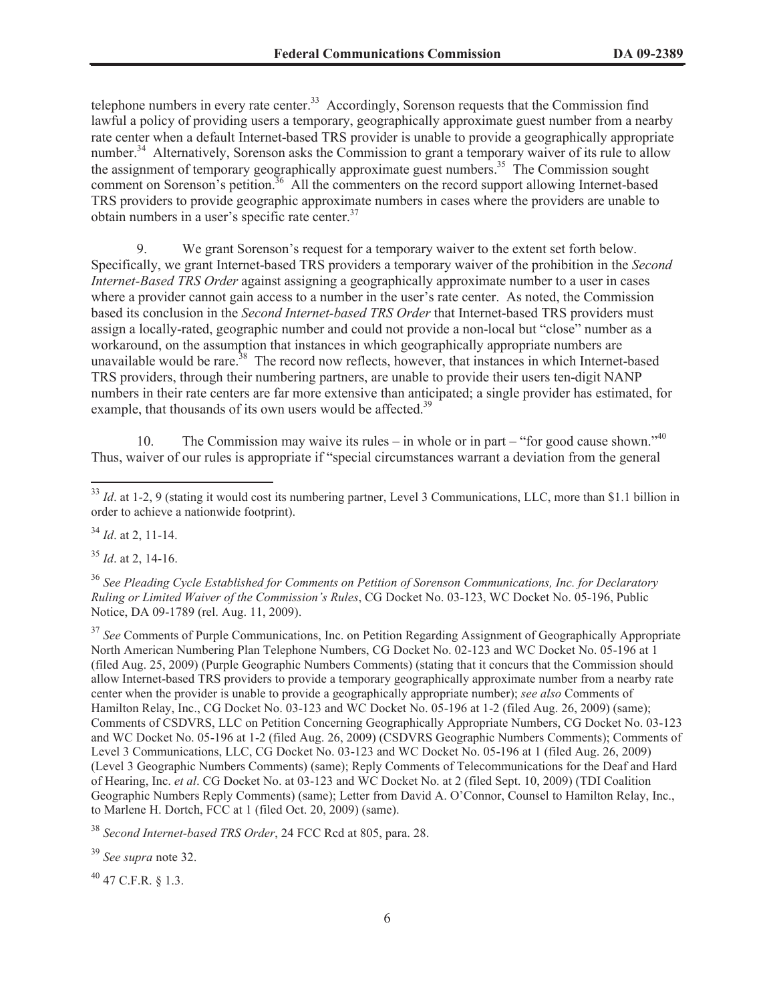telephone numbers in every rate center.<sup>33</sup> Accordingly, Sorenson requests that the Commission find lawful a policy of providing users a temporary, geographically approximate guest number from a nearby rate center when a default Internet-based TRS provider is unable to provide a geographically appropriate number.<sup>34</sup> Alternatively, Sorenson asks the Commission to grant a temporary waiver of its rule to allow the assignment of temporary geographically approximate guest numbers.<sup>35</sup> The Commission sought comment on Sorenson's petition.<sup>36</sup> All the commenters on the record support allowing Internet-based TRS providers to provide geographic approximate numbers in cases where the providers are unable to obtain numbers in a user's specific rate center.<sup>37</sup>

9. We grant Sorenson's request for a temporary waiver to the extent set forth below. Specifically, we grant Internet-based TRS providers a temporary waiver of the prohibition in the *Second Internet-Based TRS Order* against assigning a geographically approximate number to a user in cases where a provider cannot gain access to a number in the user's rate center. As noted, the Commission based its conclusion in the *Second Internet-based TRS Order* that Internet-based TRS providers must assign a locally-rated, geographic number and could not provide a non-local but "close" number as a workaround, on the assumption that instances in which geographically appropriate numbers are unavailable would be rare.<sup>38</sup> The record now reflects, however, that instances in which Internet-based TRS providers, through their numbering partners, are unable to provide their users ten-digit NANP numbers in their rate centers are far more extensive than anticipated; a single provider has estimated, for example, that thousands of its own users would be affected.<sup>39</sup>

10. The Commission may waive its rules – in whole or in part – "for good cause shown."<sup>40</sup> Thus, waiver of our rules is appropriate if "special circumstances warrant a deviation from the general

<sup>34</sup> *Id*. at 2, 11-14.

<sup>35</sup> *Id*. at 2, 14-16.

<sup>36</sup> *See Pleading Cycle Established for Comments on Petition of Sorenson Communications, Inc. for Declaratory Ruling or Limited Waiver of the Commission's Rules*, CG Docket No. 03-123, WC Docket No. 05-196, Public Notice, DA 09-1789 (rel. Aug. 11, 2009).

<sup>37</sup> See Comments of Purple Communications, Inc. on Petition Regarding Assignment of Geographically Appropriate North American Numbering Plan Telephone Numbers, CG Docket No. 02-123 and WC Docket No. 05-196 at 1 (filed Aug. 25, 2009) (Purple Geographic Numbers Comments) (stating that it concurs that the Commission should allow Internet-based TRS providers to provide a temporary geographically approximate number from a nearby rate center when the provider is unable to provide a geographically appropriate number); *see also* Comments of Hamilton Relay, Inc., CG Docket No. 03-123 and WC Docket No. 05-196 at 1-2 (filed Aug. 26, 2009) (same); Comments of CSDVRS, LLC on Petition Concerning Geographically Appropriate Numbers, CG Docket No. 03-123 and WC Docket No. 05-196 at 1-2 (filed Aug. 26, 2009) (CSDVRS Geographic Numbers Comments); Comments of Level 3 Communications, LLC, CG Docket No. 03-123 and WC Docket No. 05-196 at 1 (filed Aug. 26, 2009) (Level 3 Geographic Numbers Comments) (same); Reply Comments of Telecommunications for the Deaf and Hard of Hearing, Inc. *et al*. CG Docket No. at 03-123 and WC Docket No. at 2 (filed Sept. 10, 2009) (TDI Coalition Geographic Numbers Reply Comments) (same); Letter from David A. O'Connor, Counsel to Hamilton Relay, Inc., to Marlene H. Dortch, FCC at 1 (filed Oct. 20, 2009) (same).

<sup>38</sup> *Second Internet-based TRS Order*, 24 FCC Rcd at 805, para. 28.

<sup>39</sup> *See supra* note 32.

 $^{40}$  47 C.F.R. § 1.3.

<sup>&</sup>lt;sup>33</sup> *Id.* at 1-2, 9 (stating it would cost its numbering partner, Level 3 Communications, LLC, more than \$1.1 billion in order to achieve a nationwide footprint).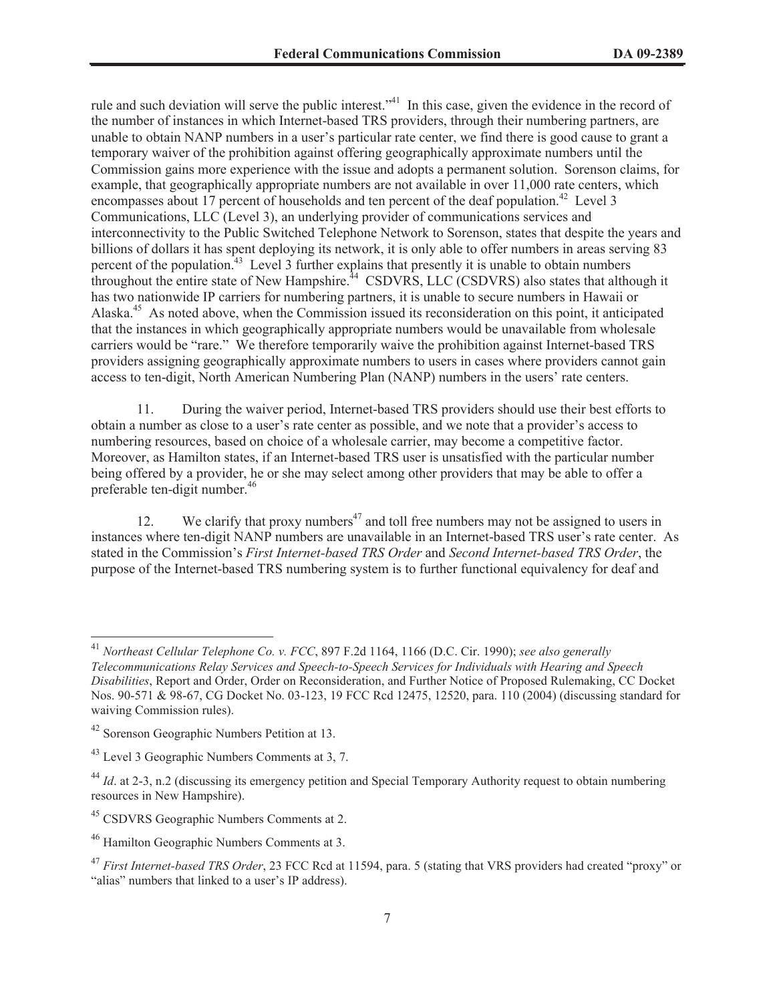rule and such deviation will serve the public interest.<sup>341</sup> In this case, given the evidence in the record of the number of instances in which Internet-based TRS providers, through their numbering partners, are unable to obtain NANP numbers in a user's particular rate center, we find there is good cause to grant a temporary waiver of the prohibition against offering geographically approximate numbers until the Commission gains more experience with the issue and adopts a permanent solution. Sorenson claims, for example, that geographically appropriate numbers are not available in over 11,000 rate centers, which encompasses about 17 percent of households and ten percent of the deaf population.<sup>42</sup> Level 3 Communications, LLC (Level 3), an underlying provider of communications services and interconnectivity to the Public Switched Telephone Network to Sorenson, states that despite the years and billions of dollars it has spent deploying its network, it is only able to offer numbers in areas serving 83 percent of the population.<sup>43</sup> Level 3 further explains that presently it is unable to obtain numbers throughout the entire state of New Hampshire.<sup>44</sup> CSDVRS, LLC (CSDVRS) also states that although it has two nationwide IP carriers for numbering partners, it is unable to secure numbers in Hawaii or Alaska.<sup>45</sup> As noted above, when the Commission issued its reconsideration on this point, it anticipated that the instances in which geographically appropriate numbers would be unavailable from wholesale carriers would be "rare." We therefore temporarily waive the prohibition against Internet-based TRS providers assigning geographically approximate numbers to users in cases where providers cannot gain access to ten-digit, North American Numbering Plan (NANP) numbers in the users' rate centers.

11. During the waiver period, Internet-based TRS providers should use their best efforts to obtain a number as close to a user's rate center as possible, and we note that a provider's access to numbering resources, based on choice of a wholesale carrier, may become a competitive factor. Moreover, as Hamilton states, if an Internet-based TRS user is unsatisfied with the particular number being offered by a provider, he or she may select among other providers that may be able to offer a preferable ten-digit number.<sup>46</sup>

12. We clarify that proxy numbers<sup> $47$ </sup> and toll free numbers may not be assigned to users in instances where ten-digit NANP numbers are unavailable in an Internet-based TRS user's rate center. As stated in the Commission's *First Internet-based TRS Order* and *Second Internet-based TRS Order*, the purpose of the Internet-based TRS numbering system is to further functional equivalency for deaf and

<sup>41</sup> *Northeast Cellular Telephone Co. v. FCC*, 897 F.2d 1164, 1166 (D.C. Cir. 1990); *see also generally Telecommunications Relay Services and Speech-to-Speech Services for Individuals with Hearing and Speech Disabilities*, Report and Order, Order on Reconsideration, and Further Notice of Proposed Rulemaking, CC Docket Nos. 90-571 & 98-67, CG Docket No. 03-123, 19 FCC Rcd 12475, 12520, para. 110 (2004) (discussing standard for waiving Commission rules).

<sup>42</sup> Sorenson Geographic Numbers Petition at 13.

<sup>&</sup>lt;sup>43</sup> Level 3 Geographic Numbers Comments at 3, 7.

<sup>44</sup> *Id*. at 2-3, n.2 (discussing its emergency petition and Special Temporary Authority request to obtain numbering resources in New Hampshire).

<sup>&</sup>lt;sup>45</sup> CSDVRS Geographic Numbers Comments at 2.

<sup>46</sup> Hamilton Geographic Numbers Comments at 3.

<sup>47</sup> *First Internet-based TRS Order*, 23 FCC Rcd at 11594, para. 5 (stating that VRS providers had created "proxy" or "alias" numbers that linked to a user's IP address).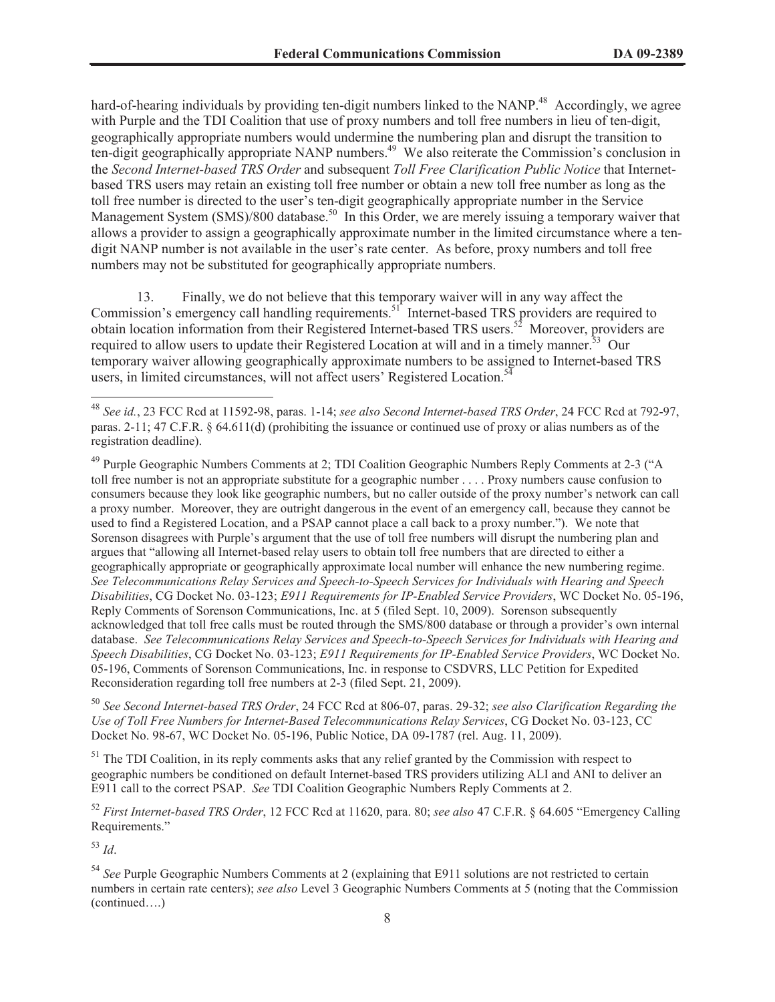hard-of-hearing individuals by providing ten-digit numbers linked to the NANP.<sup>48</sup> Accordingly, we agree with Purple and the TDI Coalition that use of proxy numbers and toll free numbers in lieu of ten-digit, geographically appropriate numbers would undermine the numbering plan and disrupt the transition to ten-digit geographically appropriate NANP numbers.<sup>49</sup> We also reiterate the Commission's conclusion in the *Second Internet-based TRS Order* and subsequent *Toll Free Clarification Public Notice* that Internetbased TRS users may retain an existing toll free number or obtain a new toll free number as long as the toll free number is directed to the user's ten-digit geographically appropriate number in the Service Management System (SMS)/800 database.<sup>50</sup> In this Order, we are merely issuing a temporary waiver that allows a provider to assign a geographically approximate number in the limited circumstance where a tendigit NANP number is not available in the user's rate center. As before, proxy numbers and toll free numbers may not be substituted for geographically appropriate numbers.

13. Finally, we do not believe that this temporary waiver will in any way affect the Commission's emergency call handling requirements.<sup>51</sup> Internet-based TRS providers are required to obtain location information from their Registered Internet-based TRS users.<sup>52</sup> Moreover, providers are required to allow users to update their Registered Location at will and in a timely manner.<sup>53</sup> Our temporary waiver allowing geographically approximate numbers to be assigned to Internet-based TRS users, in limited circumstances, will not affect users' Registered Location.<sup>54</sup>

<sup>50</sup> *See Second Internet-based TRS Order*, 24 FCC Rcd at 806-07, paras. 29-32; *see also Clarification Regarding the Use of Toll Free Numbers for Internet-Based Telecommunications Relay Services*, CG Docket No. 03-123, CC Docket No. 98-67, WC Docket No. 05-196, Public Notice, DA 09-1787 (rel. Aug. 11, 2009).

<sup>51</sup> The TDI Coalition, in its reply comments asks that any relief granted by the Commission with respect to geographic numbers be conditioned on default Internet-based TRS providers utilizing ALI and ANI to deliver an E911 call to the correct PSAP. *See* TDI Coalition Geographic Numbers Reply Comments at 2.

<sup>52</sup> *First Internet-based TRS Order*, 12 FCC Rcd at 11620, para. 80; *see also* 47 C.F.R. § 64.605 "Emergency Calling Requirements."

<sup>53</sup> *Id*.

<sup>54</sup> *See* Purple Geographic Numbers Comments at 2 (explaining that E911 solutions are not restricted to certain numbers in certain rate centers); *see also* Level 3 Geographic Numbers Comments at 5 (noting that the Commission (continued….)

<sup>48</sup> *See id.*, 23 FCC Rcd at 11592-98, paras. 1-14; *see also Second Internet-based TRS Order*, 24 FCC Rcd at 792-97, paras. 2-11; 47 C.F.R. § 64.611(d) (prohibiting the issuance or continued use of proxy or alias numbers as of the registration deadline).

<sup>&</sup>lt;sup>49</sup> Purple Geographic Numbers Comments at 2; TDI Coalition Geographic Numbers Reply Comments at 2-3 ("A toll free number is not an appropriate substitute for a geographic number . . . . Proxy numbers cause confusion to consumers because they look like geographic numbers, but no caller outside of the proxy number's network can call a proxy number. Moreover, they are outright dangerous in the event of an emergency call, because they cannot be used to find a Registered Location, and a PSAP cannot place a call back to a proxy number."). We note that Sorenson disagrees with Purple's argument that the use of toll free numbers will disrupt the numbering plan and argues that "allowing all Internet-based relay users to obtain toll free numbers that are directed to either a geographically appropriate or geographically approximate local number will enhance the new numbering regime. *See Telecommunications Relay Services and Speech-to-Speech Services for Individuals with Hearing and Speech Disabilities*, CG Docket No. 03-123; *E911 Requirements for IP-Enabled Service Providers*, WC Docket No. 05-196, Reply Comments of Sorenson Communications, Inc. at 5 (filed Sept. 10, 2009). Sorenson subsequently acknowledged that toll free calls must be routed through the SMS/800 database or through a provider's own internal database. *See Telecommunications Relay Services and Speech-to-Speech Services for Individuals with Hearing and Speech Disabilities*, CG Docket No. 03-123; *E911 Requirements for IP-Enabled Service Providers*, WC Docket No. 05-196, Comments of Sorenson Communications, Inc. in response to CSDVRS, LLC Petition for Expedited Reconsideration regarding toll free numbers at 2-3 (filed Sept. 21, 2009).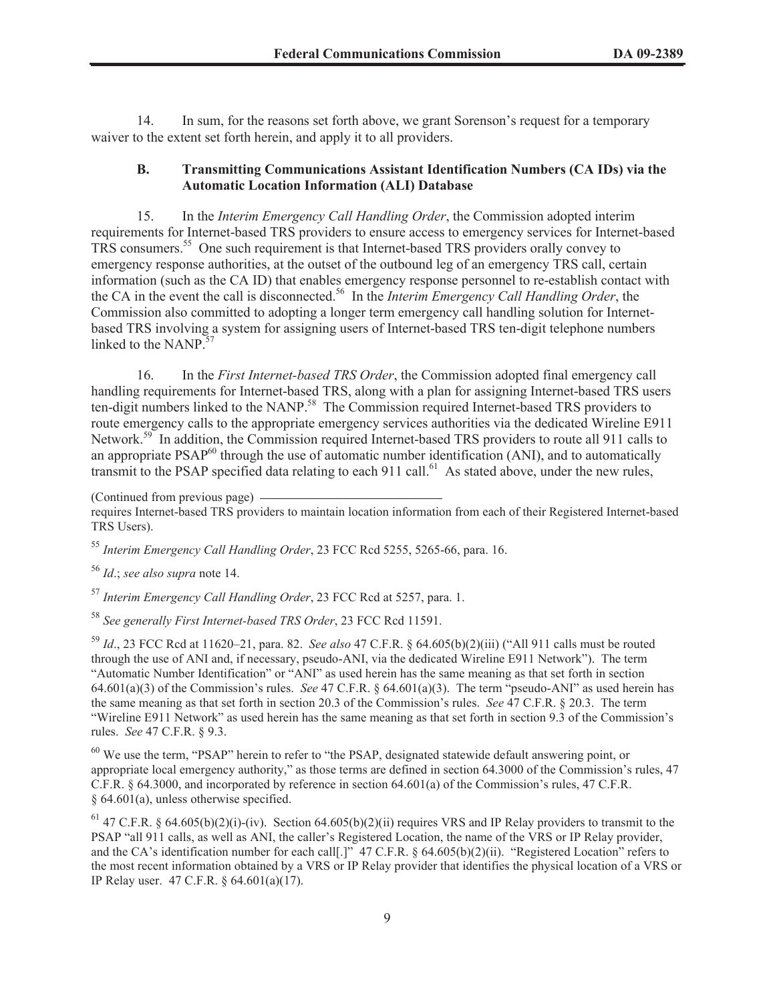14. In sum, for the reasons set forth above, we grant Sorenson's request for a temporary waiver to the extent set forth herein, and apply it to all providers.

## **B. Transmitting Communications Assistant Identification Numbers (CA IDs) via the Automatic Location Information (ALI) Database**

15. In the *Interim Emergency Call Handling Order*, the Commission adopted interim requirements for Internet-based TRS providers to ensure access to emergency services for Internet-based TRS consumers.<sup>55</sup> One such requirement is that Internet-based TRS providers orally convey to emergency response authorities, at the outset of the outbound leg of an emergency TRS call, certain information (such as the CA ID) that enables emergency response personnel to re-establish contact with the CA in the event the call is disconnected.<sup>56</sup> In the *Interim Emergency Call Handling Order*, the Commission also committed to adopting a longer term emergency call handling solution for Internetbased TRS involving a system for assigning users of Internet-based TRS ten-digit telephone numbers linked to the NANP.<sup>57</sup>

16. In the *First Internet-based TRS Order*, the Commission adopted final emergency call handling requirements for Internet-based TRS, along with a plan for assigning Internet-based TRS users ten-digit numbers linked to the NANP.<sup>58</sup> The Commission required Internet-based TRS providers to route emergency calls to the appropriate emergency services authorities via the dedicated Wireline E911 Network.<sup>59</sup> In addition, the Commission required Internet-based TRS providers to route all 911 calls to an appropriate  $PSAP^{60}$  through the use of automatic number identification (ANI), and to automatically transmit to the PSAP specified data relating to each 911 call.<sup>61</sup> As stated above, under the new rules,

(Continued from previous page)

requires Internet-based TRS providers to maintain location information from each of their Registered Internet-based TRS Users).

<sup>55</sup> *Interim Emergency Call Handling Order*, 23 FCC Rcd 5255, 5265-66, para. 16.

<sup>56</sup> *Id*.; *see also supra* note 14.

<sup>57</sup> *Interim Emergency Call Handling Order*, 23 FCC Rcd at 5257, para. 1.

<sup>58</sup> *See generally First Internet-based TRS Order*, 23 FCC Rcd 11591.

<sup>59</sup> *Id*., 23 FCC Rcd at 11620–21, para. 82. *See also* 47 C.F.R. § 64.605(b)(2)(iii) ("All 911 calls must be routed through the use of ANI and, if necessary, pseudo-ANI, via the dedicated Wireline E911 Network"). The term "Automatic Number Identification" or "ANI" as used herein has the same meaning as that set forth in section 64.601(a)(3) of the Commission's rules. *See* 47 C.F.R. § 64.601(a)(3). The term "pseudo-ANI" as used herein has the same meaning as that set forth in section 20.3 of the Commission's rules. *See* 47 C.F.R. § 20.3. The term "Wireline E911 Network" as used herein has the same meaning as that set forth in section 9.3 of the Commission's rules. *See* 47 C.F.R. § 9.3.

<sup>60</sup> We use the term, "PSAP" herein to refer to "the PSAP, designated statewide default answering point, or appropriate local emergency authority," as those terms are defined in section 64.3000 of the Commission's rules, 47 C.F.R. § 64.3000, and incorporated by reference in section 64.601(a) of the Commission's rules, 47 C.F.R. § 64.601(a), unless otherwise specified.

<sup>61</sup> 47 C.F.R. § 64.605(b)(2)(i)-(iv). Section 64.605(b)(2)(ii) requires VRS and IP Relay providers to transmit to the PSAP "all 911 calls, as well as ANI, the caller's Registered Location, the name of the VRS or IP Relay provider, and the CA's identification number for each call[.]" 47 C.F.R. § 64.605(b)(2)(ii). "Registered Location" refers to the most recent information obtained by a VRS or IP Relay provider that identifies the physical location of a VRS or IP Relay user. 47 C.F.R. § 64.601(a)(17).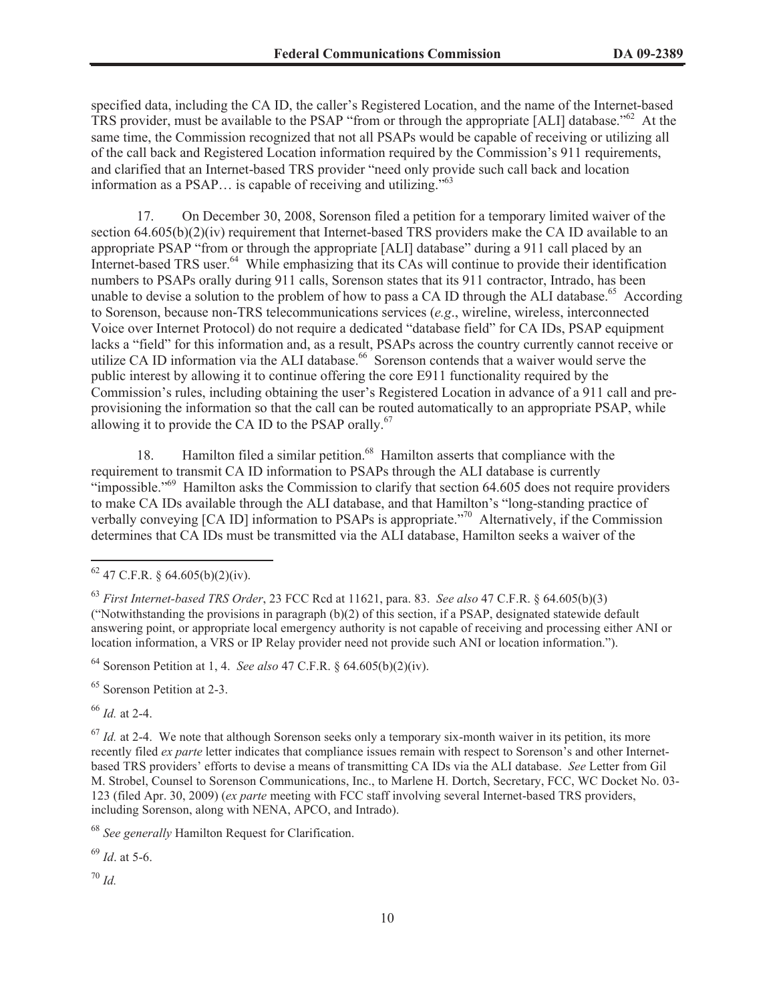specified data, including the CA ID, the caller's Registered Location, and the name of the Internet-based TRS provider, must be available to the PSAP "from or through the appropriate [ALI] database."<sup>62</sup> At the same time, the Commission recognized that not all PSAPs would be capable of receiving or utilizing all of the call back and Registered Location information required by the Commission's 911 requirements, and clarified that an Internet-based TRS provider "need only provide such call back and location information as a PSAP… is capable of receiving and utilizing."<sup>63</sup>

17. On December 30, 2008, Sorenson filed a petition for a temporary limited waiver of the section 64.605(b)(2)(iv) requirement that Internet-based TRS providers make the CA ID available to an appropriate PSAP "from or through the appropriate [ALI] database" during a 911 call placed by an Internet-based TRS user.<sup>64</sup> While emphasizing that its CAs will continue to provide their identification numbers to PSAPs orally during 911 calls, Sorenson states that its 911 contractor, Intrado, has been unable to devise a solution to the problem of how to pass a CA ID through the ALI database.<sup>65</sup> According to Sorenson, because non-TRS telecommunications services (*e.g*., wireline, wireless, interconnected Voice over Internet Protocol) do not require a dedicated "database field" for CA IDs, PSAP equipment lacks a "field" for this information and, as a result, PSAPs across the country currently cannot receive or utilize CA ID information via the ALI database.<sup>66</sup> Sorenson contends that a waiver would serve the public interest by allowing it to continue offering the core E911 functionality required by the Commission's rules, including obtaining the user's Registered Location in advance of a 911 call and preprovisioning the information so that the call can be routed automatically to an appropriate PSAP, while allowing it to provide the CA ID to the PSAP orally.<sup>67</sup>

18. Hamilton filed a similar petition.<sup>68</sup> Hamilton asserts that compliance with the requirement to transmit CA ID information to PSAPs through the ALI database is currently "impossible."<sup>69</sup> Hamilton asks the Commission to clarify that section 64.605 does not require providers to make CA IDs available through the ALI database, and that Hamilton's "long-standing practice of verbally conveying [CA ID] information to PSAPs is appropriate."<sup>70</sup> Alternatively, if the Commission determines that CA IDs must be transmitted via the ALI database, Hamilton seeks a waiver of the

<sup>64</sup> Sorenson Petition at 1, 4. *See also* 47 C.F.R. § 64.605(b)(2)(iv).

<sup>65</sup> Sorenson Petition at 2-3.

<sup>66</sup> *Id.* at 2-4.

<sup>67</sup> *Id.* at 2-4. We note that although Sorenson seeks only a temporary six-month waiver in its petition, its more recently filed *ex parte* letter indicates that compliance issues remain with respect to Sorenson's and other Internetbased TRS providers' efforts to devise a means of transmitting CA IDs via the ALI database. *See* Letter from Gil M. Strobel, Counsel to Sorenson Communications, Inc., to Marlene H. Dortch, Secretary, FCC, WC Docket No. 03- 123 (filed Apr. 30, 2009) (*ex parte* meeting with FCC staff involving several Internet-based TRS providers, including Sorenson, along with NENA, APCO, and Intrado).

<sup>68</sup> *See generally* Hamilton Request for Clarification.

<sup>69</sup> *Id*. at 5-6.

<sup>70</sup> *Id.*

 $62$  47 C.F.R. § 64.605(b)(2)(iv).

<sup>63</sup> *First Internet-based TRS Order*, 23 FCC Rcd at 11621, para. 83. *See also* 47 C.F.R. § 64.605(b)(3) ("Notwithstanding the provisions in paragraph (b)(2) of this section, if a PSAP, designated statewide default answering point, or appropriate local emergency authority is not capable of receiving and processing either ANI or location information, a VRS or IP Relay provider need not provide such ANI or location information.").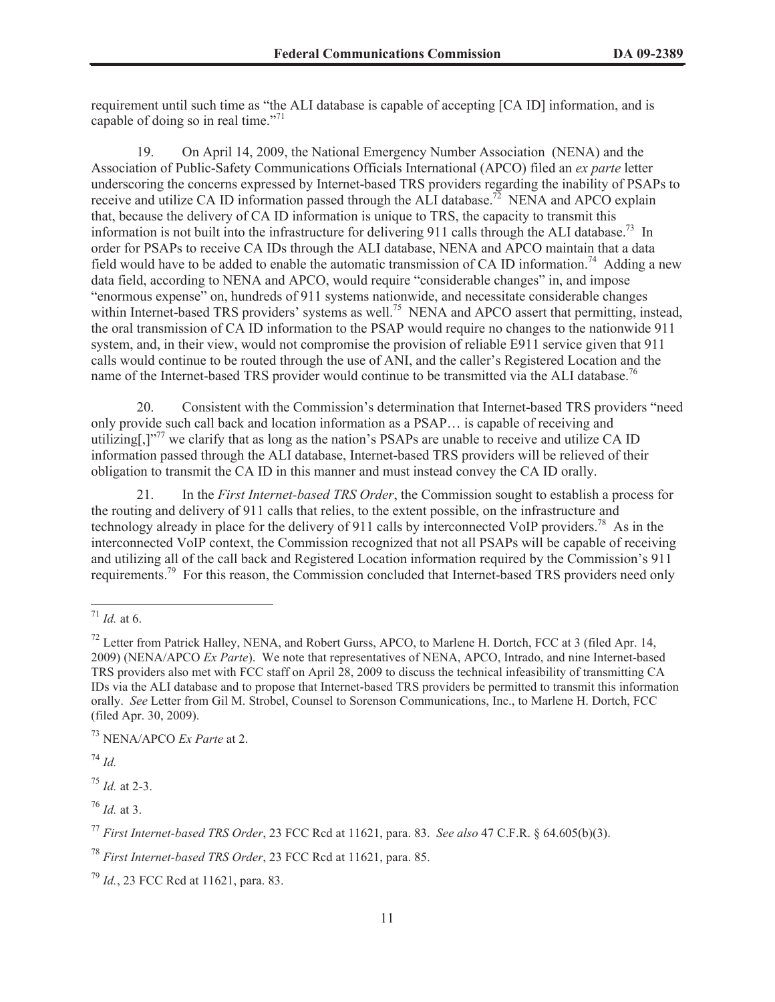requirement until such time as "the ALI database is capable of accepting [CA ID] information, and is capable of doing so in real time."<sup>71</sup>

19. On April 14, 2009, the National Emergency Number Association (NENA) and the Association of Public-Safety Communications Officials International (APCO) filed an *ex parte* letter underscoring the concerns expressed by Internet-based TRS providers regarding the inability of PSAPs to receive and utilize CA ID information passed through the ALI database.<sup>72</sup> NENA and APCO explain that, because the delivery of CA ID information is unique to TRS, the capacity to transmit this information is not built into the infrastructure for delivering 911 calls through the ALI database.<sup>73</sup> In order for PSAPs to receive CA IDs through the ALI database, NENA and APCO maintain that a data field would have to be added to enable the automatic transmission of CA ID information.<sup>74</sup> Adding a new data field, according to NENA and APCO, would require "considerable changes" in, and impose "enormous expense" on, hundreds of 911 systems nationwide, and necessitate considerable changes within Internet-based TRS providers' systems as well.<sup>75</sup> NENA and APCO assert that permitting, instead, the oral transmission of CA ID information to the PSAP would require no changes to the nationwide 911 system, and, in their view, would not compromise the provision of reliable E911 service given that 911 calls would continue to be routed through the use of ANI, and the caller's Registered Location and the name of the Internet-based TRS provider would continue to be transmitted via the ALI database.<sup>76</sup>

20. Consistent with the Commission's determination that Internet-based TRS providers "need only provide such call back and location information as a PSAP… is capable of receiving and utilizing[,]"<sup>77</sup> we clarify that as long as the nation's PSAPs are unable to receive and utilize CA ID information passed through the ALI database, Internet-based TRS providers will be relieved of their obligation to transmit the CA ID in this manner and must instead convey the CA ID orally.

21. In the *First Internet-based TRS Order*, the Commission sought to establish a process for the routing and delivery of 911 calls that relies, to the extent possible, on the infrastructure and technology already in place for the delivery of 911 calls by interconnected VoIP providers.<sup>78</sup> As in the interconnected VoIP context, the Commission recognized that not all PSAPs will be capable of receiving and utilizing all of the call back and Registered Location information required by the Commission's 911 requirements.<sup>79</sup> For this reason, the Commission concluded that Internet-based TRS providers need only

<sup>74</sup> *Id.*

<sup>75</sup> *Id.* at 2-3.

<sup>76</sup> *Id.* at 3.

 $171$  *Id.* at 6.

<sup>&</sup>lt;sup>72</sup> Letter from Patrick Halley, NENA, and Robert Gurss, APCO, to Marlene H. Dortch, FCC at 3 (filed Apr. 14, 2009) (NENA/APCO *Ex Parte*). We note that representatives of NENA, APCO, Intrado, and nine Internet-based TRS providers also met with FCC staff on April 28, 2009 to discuss the technical infeasibility of transmitting CA IDs via the ALI database and to propose that Internet-based TRS providers be permitted to transmit this information orally. *See* Letter from Gil M. Strobel, Counsel to Sorenson Communications, Inc., to Marlene H. Dortch, FCC (filed Apr. 30, 2009).

<sup>73</sup> NENA/APCO *Ex Parte* at 2.

<sup>77</sup> *First Internet-based TRS Order*, 23 FCC Rcd at 11621, para. 83. *See also* 47 C.F.R. § 64.605(b)(3).

<sup>78</sup> *First Internet-based TRS Order*, 23 FCC Rcd at 11621, para. 85.

<sup>79</sup> *Id.*, 23 FCC Rcd at 11621, para. 83.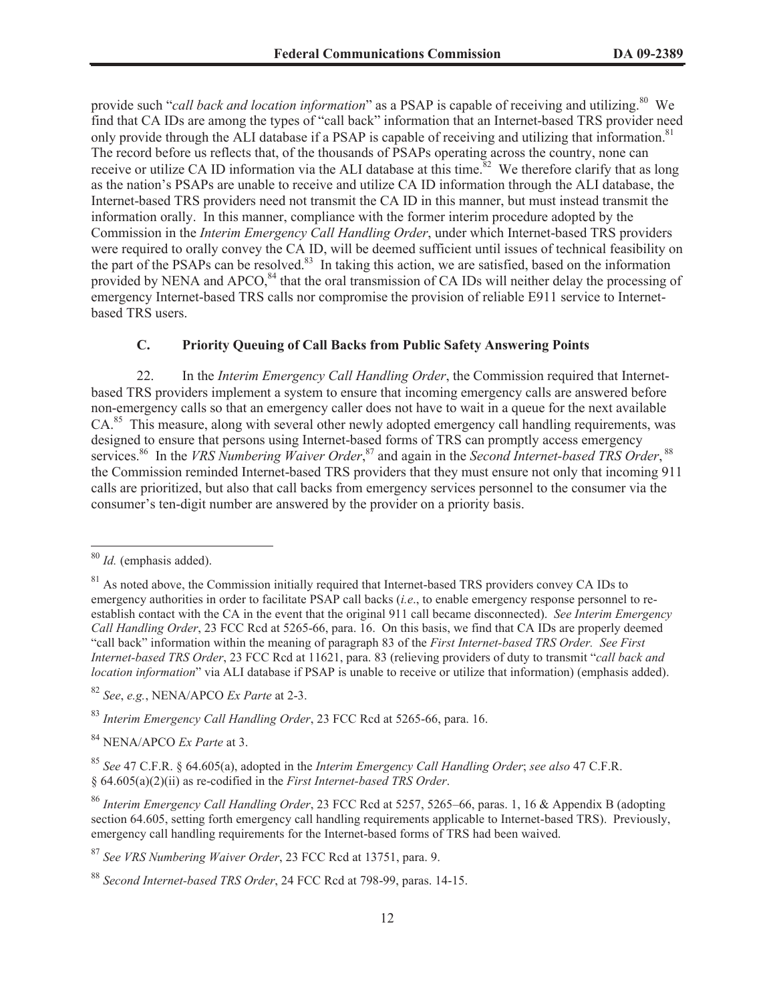provide such "*call back and location information*" as a PSAP is capable of receiving and utilizing.<sup>80</sup> We find that CA IDs are among the types of "call back" information that an Internet-based TRS provider need only provide through the ALI database if a PSAP is capable of receiving and utilizing that information.<sup>81</sup> The record before us reflects that, of the thousands of PSAPs operating across the country, none can receive or utilize CA ID information via the ALI database at this time.<sup>82</sup> We therefore clarify that as long as the nation's PSAPs are unable to receive and utilize CA ID information through the ALI database, the Internet-based TRS providers need not transmit the CA ID in this manner, but must instead transmit the information orally. In this manner, compliance with the former interim procedure adopted by the Commission in the *Interim Emergency Call Handling Order*, under which Internet-based TRS providers were required to orally convey the CA ID, will be deemed sufficient until issues of technical feasibility on the part of the PSAPs can be resolved.<sup>83</sup> In taking this action, we are satisfied, based on the information provided by NENA and APCO,<sup>84</sup> that the oral transmission of CA IDs will neither delay the processing of emergency Internet-based TRS calls nor compromise the provision of reliable E911 service to Internetbased TRS users.

# **C. Priority Queuing of Call Backs from Public Safety Answering Points**

22. In the *Interim Emergency Call Handling Order*, the Commission required that Internetbased TRS providers implement a system to ensure that incoming emergency calls are answered before non-emergency calls so that an emergency caller does not have to wait in a queue for the next available CA.<sup>85</sup> This measure, along with several other newly adopted emergency call handling requirements, was designed to ensure that persons using Internet-based forms of TRS can promptly access emergency services.<sup>86</sup> In the *VRS Numbering Waiver Order*,<sup>87</sup> and again in the *Second Internet-based TRS Order*, 88 the Commission reminded Internet-based TRS providers that they must ensure not only that incoming 911 calls are prioritized, but also that call backs from emergency services personnel to the consumer via the consumer's ten-digit number are answered by the provider on a priority basis.

<sup>84</sup> NENA/APCO *Ex Parte* at 3.

<sup>80</sup> *Id.* (emphasis added).

 $81$  As noted above, the Commission initially required that Internet-based TRS providers convey CA IDs to emergency authorities in order to facilitate PSAP call backs (*i.e*., to enable emergency response personnel to reestablish contact with the CA in the event that the original 911 call became disconnected). *See Interim Emergency Call Handling Order*, 23 FCC Rcd at 5265-66, para. 16. On this basis, we find that CA IDs are properly deemed "call back" information within the meaning of paragraph 83 of the *First Internet-based TRS Order. See First Internet-based TRS Order*, 23 FCC Rcd at 11621, para. 83 (relieving providers of duty to transmit "*call back and location information*" via ALI database if PSAP is unable to receive or utilize that information) (emphasis added).

<sup>82</sup> *See*, *e.g.*, NENA/APCO *Ex Parte* at 2-3.

<sup>83</sup> *Interim Emergency Call Handling Order*, 23 FCC Rcd at 5265-66, para. 16.

<sup>85</sup> *See* 47 C.F.R. § 64.605(a), adopted in the *Interim Emergency Call Handling Order*; *see also* 47 C.F.R. § 64.605(a)(2)(ii) as re-codified in the *First Internet-based TRS Order*.

<sup>86</sup> *Interim Emergency Call Handling Order*, 23 FCC Rcd at 5257, 5265–66, paras. 1, 16 & Appendix B (adopting section 64.605, setting forth emergency call handling requirements applicable to Internet-based TRS). Previously, emergency call handling requirements for the Internet-based forms of TRS had been waived.

<sup>87</sup> *See VRS Numbering Waiver Order*, 23 FCC Rcd at 13751, para. 9.

<sup>88</sup> *Second Internet-based TRS Order*, 24 FCC Rcd at 798-99, paras. 14-15.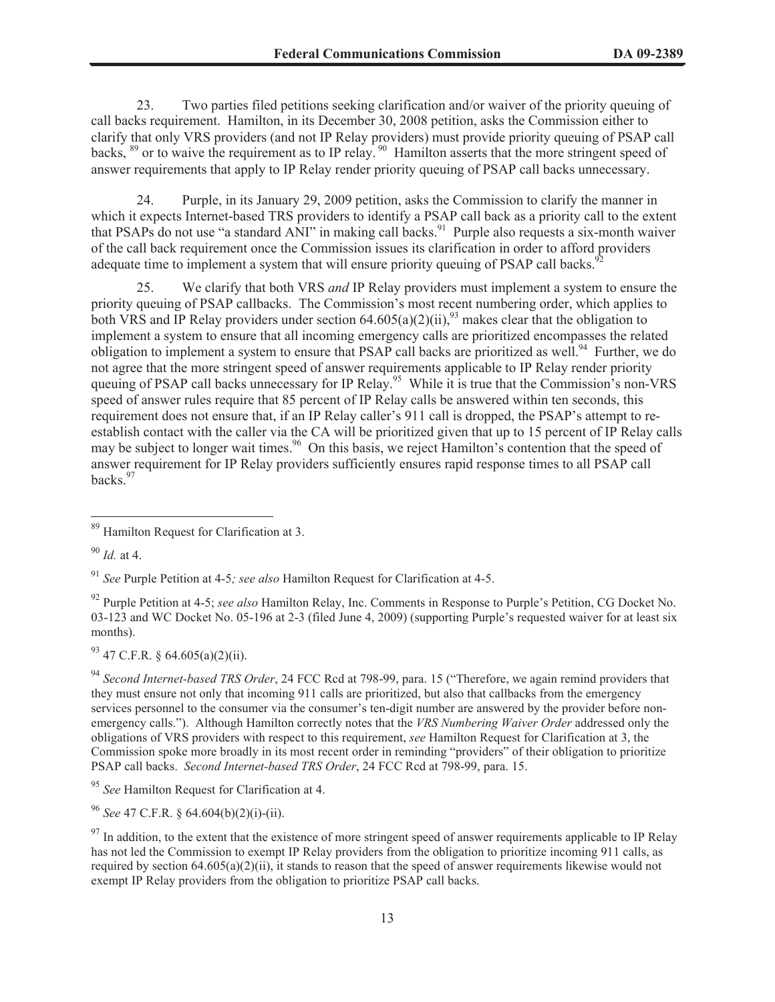23. Two parties filed petitions seeking clarification and/or waiver of the priority queuing of call backs requirement. Hamilton, in its December 30, 2008 petition, asks the Commission either to clarify that only VRS providers (and not IP Relay providers) must provide priority queuing of PSAP call backs, <sup>89</sup> or to waive the requirement as to IP relay. <sup>90</sup> Hamilton asserts that the more stringent speed of answer requirements that apply to IP Relay render priority queuing of PSAP call backs unnecessary.

24. Purple, in its January 29, 2009 petition, asks the Commission to clarify the manner in which it expects Internet-based TRS providers to identify a PSAP call back as a priority call to the extent that PSAPs do not use "a standard ANI" in making call backs.<sup>91</sup> Purple also requests a six-month waiver of the call back requirement once the Commission issues its clarification in order to afford providers adequate time to implement a system that will ensure priority queuing of PSAP call backs.<sup>92</sup>

25. We clarify that both VRS *and* IP Relay providers must implement a system to ensure the priority queuing of PSAP callbacks. The Commission's most recent numbering order, which applies to both VRS and IP Relay providers under section  $64.605(a)(2)(ii)$ ,<sup>93</sup> makes clear that the obligation to implement a system to ensure that all incoming emergency calls are prioritized encompasses the related obligation to implement a system to ensure that PSAP call backs are prioritized as well.<sup>94</sup> Further, we do not agree that the more stringent speed of answer requirements applicable to IP Relay render priority queuing of PSAP call backs unnecessary for IP Relay.<sup>95</sup> While it is true that the Commission's non-VRS speed of answer rules require that 85 percent of IP Relay calls be answered within ten seconds, this requirement does not ensure that, if an IP Relay caller's 911 call is dropped, the PSAP's attempt to reestablish contact with the caller via the CA will be prioritized given that up to 15 percent of IP Relay calls may be subject to longer wait times.<sup>96</sup> On this basis, we reject Hamilton's contention that the speed of answer requirement for IP Relay providers sufficiently ensures rapid response times to all PSAP call backs.<sup>97</sup>

<sup>90</sup> *Id.* at 4.

<sup>91</sup> *See* Purple Petition at 4-5*; see also* Hamilton Request for Clarification at 4-5.

<sup>92</sup> Purple Petition at 4-5; *see also* Hamilton Relay, Inc. Comments in Response to Purple's Petition, CG Docket No. 03-123 and WC Docket No. 05-196 at 2-3 (filed June 4, 2009) (supporting Purple's requested waiver for at least six months).

 $93$  47 C.F.R. § 64.605(a)(2)(ii).

<sup>94</sup> *Second Internet-based TRS Order*, 24 FCC Rcd at 798-99, para. 15 ("Therefore, we again remind providers that they must ensure not only that incoming 911 calls are prioritized, but also that callbacks from the emergency services personnel to the consumer via the consumer's ten-digit number are answered by the provider before nonemergency calls."). Although Hamilton correctly notes that the *VRS Numbering Waiver Order* addressed only the obligations of VRS providers with respect to this requirement, *see* Hamilton Request for Clarification at 3, the Commission spoke more broadly in its most recent order in reminding "providers" of their obligation to prioritize PSAP call backs. *Second Internet-based TRS Order*, 24 FCC Rcd at 798-99, para. 15.

<sup>95</sup> *See* Hamilton Request for Clarification at 4.

<sup>96</sup> *See* 47 C.F.R. § 64.604(b)(2)(i)-(ii).

 $\frac{97}{97}$  In addition, to the extent that the existence of more stringent speed of answer requirements applicable to IP Relay has not led the Commission to exempt IP Relay providers from the obligation to prioritize incoming 911 calls, as required by section 64.605(a)(2)(ii), it stands to reason that the speed of answer requirements likewise would not exempt IP Relay providers from the obligation to prioritize PSAP call backs.

<sup>&</sup>lt;sup>89</sup> Hamilton Request for Clarification at 3.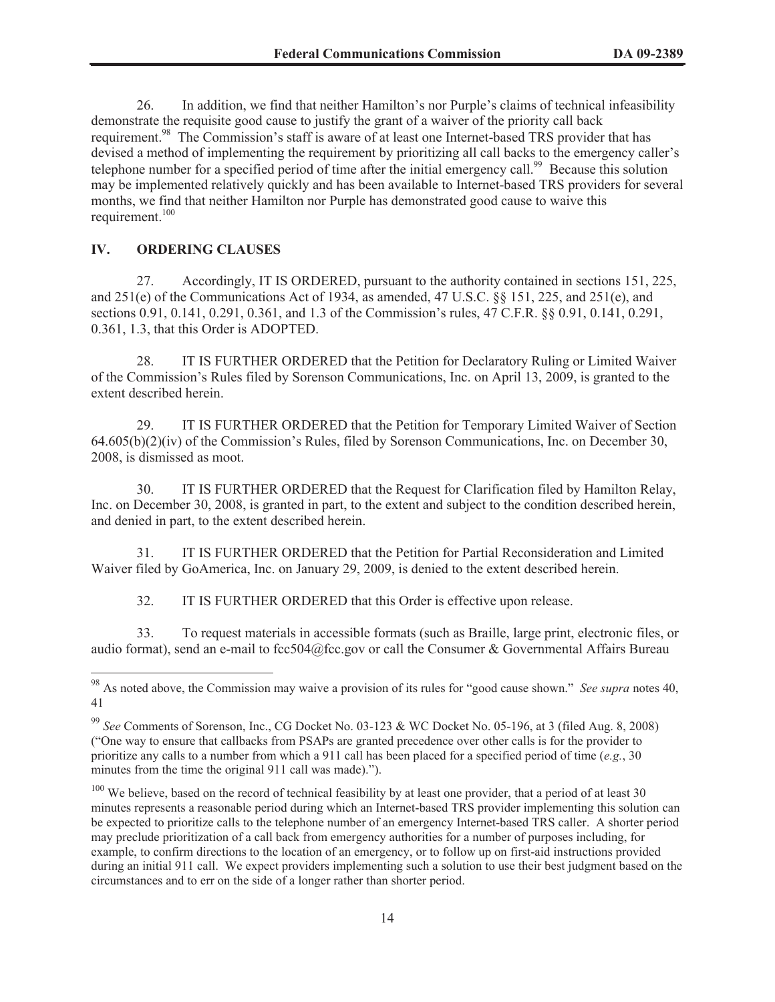26. In addition, we find that neither Hamilton's nor Purple's claims of technical infeasibility demonstrate the requisite good cause to justify the grant of a waiver of the priority call back requirement.<sup>98</sup> The Commission's staff is aware of at least one Internet-based TRS provider that has devised a method of implementing the requirement by prioritizing all call backs to the emergency caller's telephone number for a specified period of time after the initial emergency call.<sup>99</sup> Because this solution may be implemented relatively quickly and has been available to Internet-based TRS providers for several months, we find that neither Hamilton nor Purple has demonstrated good cause to waive this requirement.<sup>100</sup>

# **IV. ORDERING CLAUSES**

27. Accordingly, IT IS ORDERED, pursuant to the authority contained in sections 151, 225, and 251(e) of the Communications Act of 1934, as amended, 47 U.S.C. §§ 151, 225, and 251(e), and sections 0.91, 0.141, 0.291, 0.361, and 1.3 of the Commission's rules, 47 C.F.R. §§ 0.91, 0.141, 0.291, 0.361, 1.3, that this Order is ADOPTED.

28. IT IS FURTHER ORDERED that the Petition for Declaratory Ruling or Limited Waiver of the Commission's Rules filed by Sorenson Communications, Inc. on April 13, 2009, is granted to the extent described herein.

29. IT IS FURTHER ORDERED that the Petition for Temporary Limited Waiver of Section 64.605(b)(2)(iv) of the Commission's Rules, filed by Sorenson Communications, Inc. on December 30, 2008, is dismissed as moot.

30. IT IS FURTHER ORDERED that the Request for Clarification filed by Hamilton Relay, Inc. on December 30, 2008, is granted in part, to the extent and subject to the condition described herein, and denied in part, to the extent described herein.

31. IT IS FURTHER ORDERED that the Petition for Partial Reconsideration and Limited Waiver filed by GoAmerica, Inc. on January 29, 2009, is denied to the extent described herein.

32. IT IS FURTHER ORDERED that this Order is effective upon release.

33. To request materials in accessible formats (such as Braille, large print, electronic files, or audio format), send an e-mail to fcc504@fcc.gov or call the Consumer & Governmental Affairs Bureau

<sup>98</sup> As noted above, the Commission may waive a provision of its rules for "good cause shown." *See supra* notes 40, 41

<sup>99</sup> *See* Comments of Sorenson, Inc., CG Docket No. 03-123 & WC Docket No. 05-196, at 3 (filed Aug. 8, 2008) ("One way to ensure that callbacks from PSAPs are granted precedence over other calls is for the provider to prioritize any calls to a number from which a 911 call has been placed for a specified period of time (*e.g.*, 30 minutes from the time the original 911 call was made).").

 $100$  We believe, based on the record of technical feasibility by at least one provider, that a period of at least 30 minutes represents a reasonable period during which an Internet-based TRS provider implementing this solution can be expected to prioritize calls to the telephone number of an emergency Internet-based TRS caller. A shorter period may preclude prioritization of a call back from emergency authorities for a number of purposes including, for example, to confirm directions to the location of an emergency, or to follow up on first-aid instructions provided during an initial 911 call. We expect providers implementing such a solution to use their best judgment based on the circumstances and to err on the side of a longer rather than shorter period.